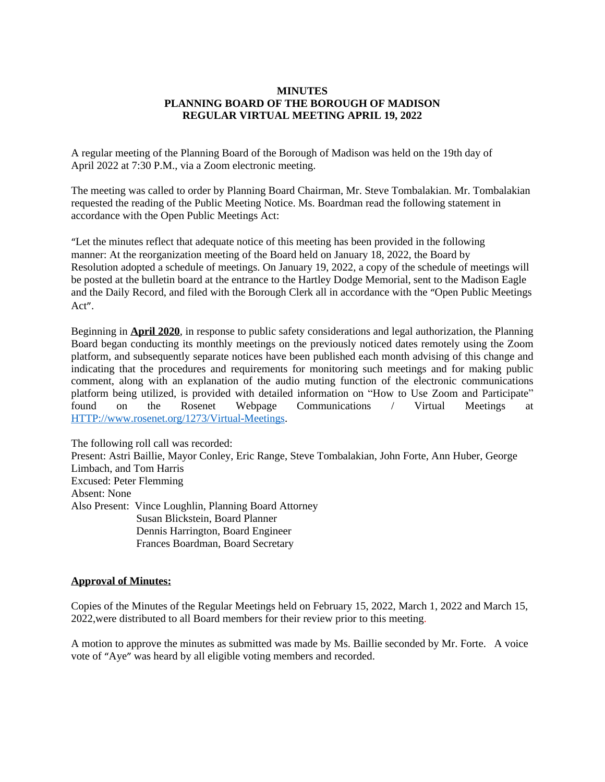#### **MINUTES PLANNING BOARD OF THE BOROUGH OF MADISON REGULAR VIRTUAL MEETING APRIL 19, 2022**

A regular meeting of the Planning Board of the Borough of Madison was held on the 19th day of April 2022 at 7:30 P.M., via a Zoom electronic meeting.

The meeting was called to order by Planning Board Chairman, Mr. Steve Tombalakian. Mr. Tombalakian requested the reading of the Public Meeting Notice. Ms. Boardman read the following statement in accordance with the Open Public Meetings Act:

"Let the minutes reflect that adequate notice of this meeting has been provided in the following manner: At the reorganization meeting of the Board held on January 18, 2022, the Board by Resolution adopted a schedule of meetings. On January 19, 2022, a copy of the schedule of meetings will be posted at the bulletin board at the entrance to the Hartley Dodge Memorial, sent to the Madison Eagle and the Daily Record, and filed with the Borough Clerk all in accordance with the "Open Public Meetings Act".

Beginning in **April 2020**, in response to public safety considerations and legal authorization, the Planning Board began conducting its monthly meetings on the previously noticed dates remotely using the Zoom platform, and subsequently separate notices have been published each month advising of this change and indicating that the procedures and requirements for monitoring such meetings and for making public comment, along with an explanation of the audio muting function of the electronic communications platform being utilized, is provided with detailed information on "How to Use Zoom and Participate" found on the Rosenet Webpage Communications / Virtual Meetings at <HTTP://www.rosenet.org/1273/Virtual-Meetings>.

The following roll call was recorded: Present: Astri Baillie, Mayor Conley, Eric Range, Steve Tombalakian, John Forte, Ann Huber, George Limbach, and Tom Harris Excused: Peter Flemming Absent: None Also Present: Vince Loughlin, Planning Board Attorney Susan Blickstein, Board Planner Dennis Harrington, Board Engineer Frances Boardman, Board Secretary

### **Approval of Minutes:**

Copies of the Minutes of the Regular Meetings held on February 15, 2022, March 1, 2022 and March 15, 2022,were distributed to all Board members for their review prior to this meeting.

A motion to approve the minutes as submitted was made by Ms. Baillie seconded by Mr. Forte. A voice vote of "Aye" was heard by all eligible voting members and recorded.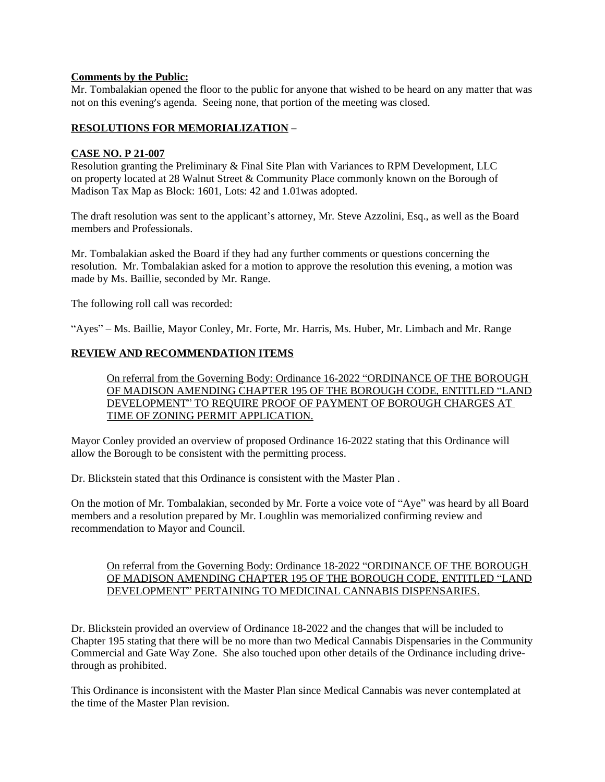### **Comments by the Public:**

Mr. Tombalakian opened the floor to the public for anyone that wished to be heard on any matter that was not on this evening's agenda. Seeing none, that portion of the meeting was closed.

# **RESOLUTIONS FOR MEMORIALIZATION** –

#### **CASE NO. P 21-007**

Resolution granting the Preliminary & Final Site Plan with Variances to RPM Development, LLC on property located at 28 Walnut Street & Community Place commonly known on the Borough of Madison Tax Map as Block: 1601, Lots: 42 and 1.01was adopted.

The draft resolution was sent to the applicant's attorney, Mr. Steve Azzolini, Esq., as well as the Board members and Professionals.

Mr. Tombalakian asked the Board if they had any further comments or questions concerning the resolution. Mr. Tombalakian asked for a motion to approve the resolution this evening, a motion was made by Ms. Baillie, seconded by Mr. Range.

The following roll call was recorded:

"Ayes" – Ms. Baillie, Mayor Conley, Mr. Forte, Mr. Harris, Ms. Huber, Mr. Limbach and Mr. Range

### **REVIEW AND RECOMMENDATION ITEMS**

On referral from the Governing Body: Ordinance 16-2022 "ORDINANCE OF THE BOROUGH OF MADISON AMENDING CHAPTER 195 OF THE BOROUGH CODE, ENTITLED "LAND DEVELOPMENT" TO REQUIRE PROOF OF PAYMENT OF BOROUGH CHARGES AT TIME OF ZONING PERMIT APPLICATION.

Mayor Conley provided an overview of proposed Ordinance 16-2022 stating that this Ordinance will allow the Borough to be consistent with the permitting process.

Dr. Blickstein stated that this Ordinance is consistent with the Master Plan .

On the motion of Mr. Tombalakian, seconded by Mr. Forte a voice vote of "Aye" was heard by all Board members and a resolution prepared by Mr. Loughlin was memorialized confirming review and recommendation to Mayor and Council.

### On referral from the Governing Body: Ordinance 18-2022 "ORDINANCE OF THE BOROUGH OF MADISON AMENDING CHAPTER 195 OF THE BOROUGH CODE, ENTITLED "LAND DEVELOPMENT" PERTAINING TO MEDICINAL CANNABIS DISPENSARIES.

Dr. Blickstein provided an overview of Ordinance 18-2022 and the changes that will be included to Chapter 195 stating that there will be no more than two Medical Cannabis Dispensaries in the Community Commercial and Gate Way Zone. She also touched upon other details of the Ordinance including drivethrough as prohibited.

This Ordinance is inconsistent with the Master Plan since Medical Cannabis was never contemplated at the time of the Master Plan revision.